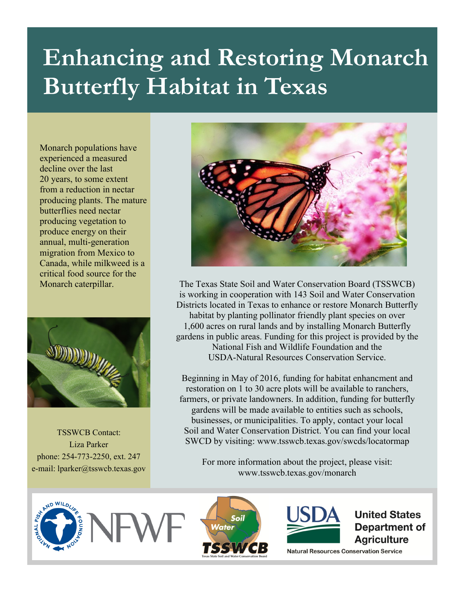## **Enhancing and Restoring Monarch Butterfly Habitat in Texas**

Monarch populations have experienced a measured decline over the last 20 years, to some extent from a reduction in nectar producing plants. The mature butterflies need nectar producing vegetation to produce energy on their annual, multi-generation migration from Mexico to Canada, while milkweed is a critical food source for the Monarch caterpillar.



TSSWCB Contact: Liza Parker phone: 254-773-2250, ext. 247 e-mail: lparker@tsswcb.texas.gov



The Texas State Soil and Water Conservation Board (TSSWCB) is working in cooperation with 143 Soil and Water Conservation Districts located in Texas to enhance or restore Monarch Butterfly habitat by planting pollinator friendly plant species on over 1,600 acres on rural lands and by installing Monarch Butterfly gardens in public areas. Funding for this project is provided by the National Fish and Wildlife Foundation and the USDA-Natural Resources Conservation Service.

Beginning in May of 2016, funding for habitat enhancment and restoration on 1 to 30 acre plots will be available to ranchers, farmers, or private landowners. In addition, funding for butterfly gardens will be made available to entities such as schools, businesses, or municipalities. To apply, contact your local Soil and Water Conservation District. You can find your local SWCD by visiting: www.tsswcb.texas.gov/swcds/locatormap

For more information about the project, please visit: www.tsswcb.texas.gov/monarch







**United States** Department of **Agriculture** 

**Natural Resources Conservation Service**